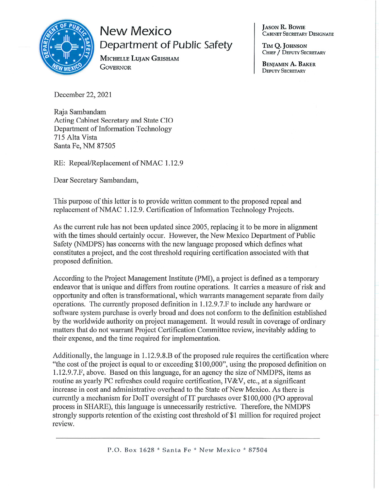

## **New Mexico** Department of Public Safety

MICHELLE LUJAN GRISHAM **GOVERNOR** 

**JASON R. BOWIE** .<br>Cabinet Secretary Designate

TIM O. JOHNSON CHIEF / DEPUTY SECRETARY

**BENIAMIN A. BAKER DEPUTY SECRETARY** 

December 22, 2021

Raja Sambandam Acting Cabinet Secretary and State CIO Department of Information Technology 715 Alta Vista Santa Fe, NM 87505

RE: Repeal/Replacement of NMAC 1.12.9

Dear Secretary Sambandam,

This purpose of this letter is to provide written comment to the proposed repeal and replacement of NMAC 1.12.9. Certification of Information Technology Projects.

As the current rule has not been updated since 2005, replacing it to be more in alignment with the times should certainly occur. However, the New Mexico Department of Public Safety (NMDPS) has concerns with the new language proposed which defines what constitutes a project, and the cost threshold requiring certification associated with that proposed definition.

According to the Project Management Institute (PMI), a project is defined as a temporary endeavor that is unique and differs from routine operations. It carries a measure of risk and opportunity and often is transformational, which warrants management separate from daily operations. The currently proposed definition in 1.12.9.7. F to include any hardware or software system purchase is overly broad and does not conform to the definition established by the worldwide authority on project management. It would result in coverage of ordinary matters that do not warrant Project Certification Committee review, inevitably adding to their expense, and the time required for implementation.

Additionally, the language in 1.12.9.8.B of the proposed rule requires the certification where "the cost of the project is equal to or exceeding \$100,000", using the proposed definition on 1.12.9.7.F, above. Based on this language, for an agency the size of NMDPS, items as routine as yearly PC refreshes could require certification, IV&V, etc., at a significant increase in cost and administrative overhead to the State of New Mexico. As there is currently a mechanism for DoIT oversight of IT purchases over \$100,000 (PO approval process in SHARE), this language is unnecessarily restrictive. Therefore, the NMDPS strongly supports retention of the existing cost threshold of \$1 million for required project review.